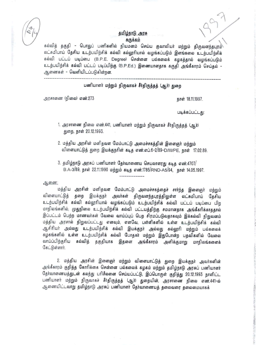## தமிழ்நாடு அரசு சுருக்கம்

கல்வித் தகுதி - பொதுப் பணிகளில் நியமனம் செய்ய குவாலியர் மற்றும் திருவனந்தபுரம் லட்சுமிபாய் தேசிய உடற்பயிற்சிக் கல்வி கல்லூரியால் வழங்கப்படும் இளங்கலை உடற்பயிற்சிக் கல்வி பட்டப் படிப்பை (B.P.E. Degree) சென்னை பல்கலைக் கழகத்தால் வழங்கப்படும் உடற்பயிற்சிக் கல்வி பட்டப் படிப்பிற்கு (B.P.Ed.) இணையானதாக கருதி அங்கீகாரம் செய்தல் -ஆணைகள் - வெளியிடப்படுகின்றன.

## பணியாளர் மற்றும் நிருவாகச் சீர்திருத்தத் (ஆர்) துறை

**---------------------------\_¥\_--------------------------------------------------------------------**

அரசாணை (நிலை) எண்.273

நாள் 18.11.1997.

படிக்கப்பட்டது:

., ,! ".

., , ., **Ii**

'1"  $\ddot{r}$ ., ,

".,

1. அரசாணை நிலை எண்.441, பணியாளர் மற்றும் நிருவாகச் சீர்திருத்தத் (ஆர்) துறை, நாள் 20.12.1993.

2. மத்திய அரசின் மனிதவள மேம்பாட்டு அமைச்சகத்தின் இளைஞர் மற்றும் விளையாட்டுத் துறை இயக்குநரின் கடித எண்.எப்.6-2/89-D/III/PE, நாள் 17.02.89.

3. தமிழ்நாடு அரசுப் பணியாளர் தேர்வாணைய செயலாளரது கடித எண்.4707/ B.A-3/89, நாள் 22.11.1990 மற்றும் கடித எண்.1785/RND-A5/94, நாள் 14.05.1997.

qj,6flrnr:

மத்திய அரசின் மனிதவள மேம்பாட்டு அமைச்சகத்தைச் சார்ந்த இளைஞர் மற்றும் விளையாட்டுத் தறை இயக்குநா் அவா்கள் திருவனந்தபுரத்திலுள்ள லட்சுமிபாய் தேசிய உடற்பயிற்சிக் கல்வி கல்லூரியால் வழங்கப்படும் உடற்பயிற்சிக் கல்வி பட்டப் படிப்பை பிற மாநிலங்களில், முதுநிலை உடற்பயிற்சிக் கல்வி பட்டயத்திற்கு சமமானதாக அங்கீகரிக்காததால் இப்பட்டம் பெற்ற மாணவர்கள் வேலை வாய்ப்புப் பெற சிரமப்படுவதாகவும் இக்கல்வி நிறுவனம் மத்திய அரசால் நிறுவப்பட்டது எனவும், எனவே, பள்ளிகளில் உள்ள உடற்பயிற்சிக் கல்வி ஆசிரியர் அல்லது உடற்பயிற்சிக் கல்வி இயக்குநர் அல்லது கல்லூரி மற்றும் பல்கலைக் கழகங்களில் உள்ள உடற்பயிற்சிக் கல்வி போதகர் மற்றும் இதுபோன்ற பதவிகளில் வேலை வாய்ப்பிற்குரிய கல்வித் தகுதியாக இதனை அங்கீகாரம் அளிக்குமாறு மாநிலங்களைக் கேட்டுள்ளார்.

2. மத்திய அரசின் இளைஞர் மற்றும் விளையாட்டுத் துறை இயக்குநர் அவர்களின் அங்கீகாரம் குறித்த கோரிக்கை சென்னை பல்கலைக் கழகம் மற்றும் தமிழ்நாடு அரசுப் பணியாளர் தோ்வாணையத்துடன் கலந்து பரிசீலனை செய்யப்பட்டு, இப்பொருள் குறித்து 20.12.1993 நாளிட்ட பணியாளர் மற்றும் நிருவாகச் சீர்திருத்தத் (ஆர்) துறையின், அரசாணை நிலை எண்.441-ல் ஆணையிட்டவாறு தமிழ்நாடு அரசுப் பணியாளர் தேர்வாணையத் தலைவரை தலைமையாகக்